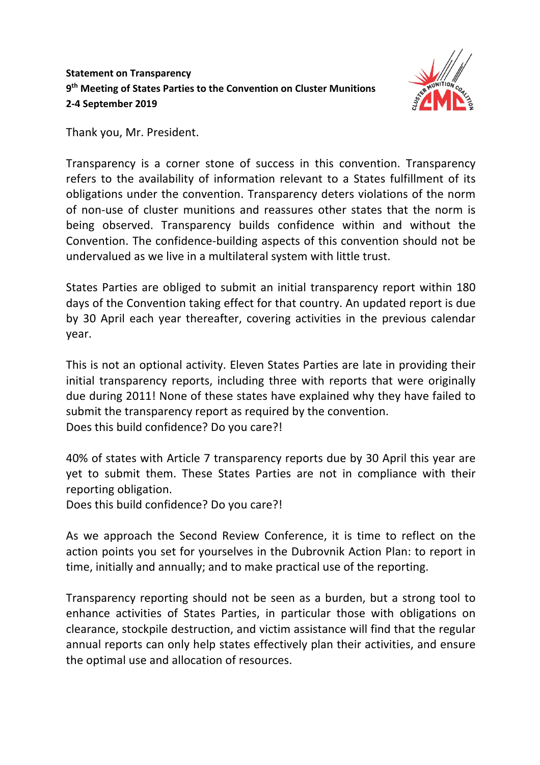## **Statement on Transparency 9th Meeting of States Parties to the Convention on Cluster Munitions 2-4 September 2019**



Thank you, Mr. President.

Transparency is a corner stone of success in this convention. Transparency refers to the availability of information relevant to a States fulfillment of its obligations under the convention. Transparency deters violations of the norm of non-use of cluster munitions and reassures other states that the norm is being observed. Transparency builds confidence within and without the Convention. The confidence-building aspects of this convention should not be undervalued as we live in a multilateral system with little trust.

States Parties are obliged to submit an initial transparency report within 180 days of the Convention taking effect for that country. An updated report is due by 30 April each year thereafter, covering activities in the previous calendar year.

This is not an optional activity. Eleven States Parties are late in providing their initial transparency reports, including three with reports that were originally due during 2011! None of these states have explained why they have failed to submit the transparency report as required by the convention. Does this build confidence? Do you care?!

40% of states with Article 7 transparency reports due by 30 April this year are yet to submit them. These States Parties are not in compliance with their reporting obligation.

Does this build confidence? Do you care?!

As we approach the Second Review Conference, it is time to reflect on the action points you set for yourselves in the Dubrovnik Action Plan: to report in time, initially and annually; and to make practical use of the reporting.

Transparency reporting should not be seen as a burden, but a strong tool to enhance activities of States Parties, in particular those with obligations on clearance, stockpile destruction, and victim assistance will find that the regular annual reports can only help states effectively plan their activities, and ensure the optimal use and allocation of resources.